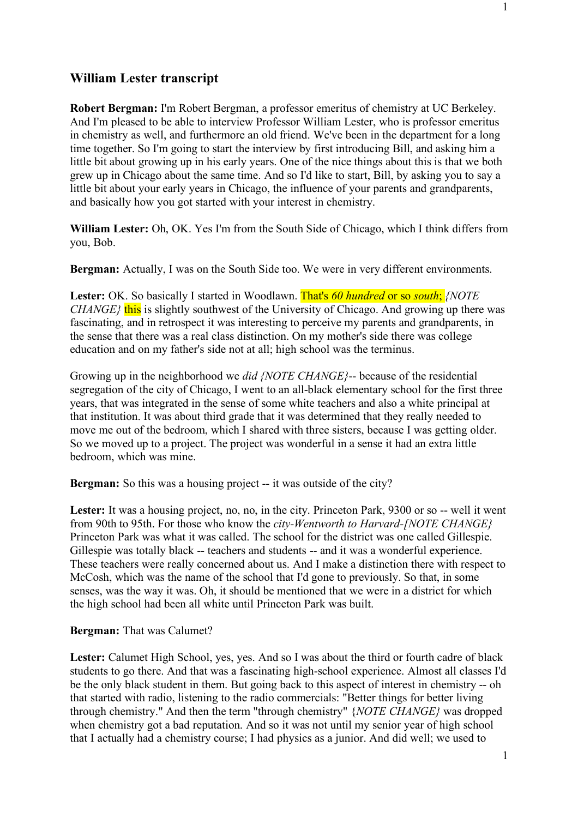**Robert Bergman:** I'm Robert Bergman, a professor emeritus of chemistry at UC Berkeley. And I'm pleased to be able to interview Professor William Lester, who is professor emeritus in chemistry as well, and furthermore an old friend. We've been in the department for a long time together. So I'm going to start the interview by first introducing Bill, and asking him a little bit about growing up in his early years. One of the nice things about this is that we both grew up in Chicago about the same time. And so I'd like to start, Bill, by asking you to say a little bit about your early years in Chicago, the influence of your parents and grandparents, and basically how you got started with your interest in chemistry.

**William Lester:** Oh, OK. Yes I'm from the South Side of Chicago, which I think differs from you, Bob.

**Bergman:** Actually, I was on the South Side too. We were in very different environments.

**Lester:** OK. So basically I started in Woodlawn. That's *60 hundred* or so *south*; *{NOTE CHANGE*<sup>}</sup> this is slightly southwest of the University of Chicago. And growing up there was fascinating, and in retrospect it was interesting to perceive my parents and grandparents, in the sense that there was a real class distinction. On my mother's side there was college education and on my father's side not at all; high school was the terminus.

Growing up in the neighborhood we *did {NOTE CHANGE}*-- because of the residential segregation of the city of Chicago, I went to an all-black elementary school for the first three years, that was integrated in the sense of some white teachers and also a white principal at that institution. It was about third grade that it was determined that they really needed to move me out of the bedroom, which I shared with three sisters, because I was getting older. So we moved up to a project. The project was wonderful in a sense it had an extra little bedroom, which was mine.

**Bergman:** So this was a housing project -- it was outside of the city?

Lester: It was a housing project, no, no, in the city. Princeton Park, 9300 or so -- well it went from 90th to 95th. For those who know the *city-Wentworth to Harvard-[NOTE CHANGE}* Princeton Park was what it was called. The school for the district was one called Gillespie. Gillespie was totally black -- teachers and students -- and it was a wonderful experience. These teachers were really concerned about us. And I make a distinction there with respect to McCosh, which was the name of the school that I'd gone to previously. So that, in some senses, was the way it was. Oh, it should be mentioned that we were in a district for which the high school had been all white until Princeton Park was built.

## **Bergman:** That was Calumet?

Lester: Calumet High School, yes, yes. And so I was about the third or fourth cadre of black students to go there. And that was a fascinating high-school experience. Almost all classes I'd be the only black student in them. But going back to this aspect of interest in chemistry -- oh that started with radio, listening to the radio commercials: "Better things for better living through chemistry." And then the term "through chemistry" {*NOTE CHANGE}* was dropped when chemistry got a bad reputation. And so it was not until my senior year of high school that I actually had a chemistry course; I had physics as a junior. And did well; we used to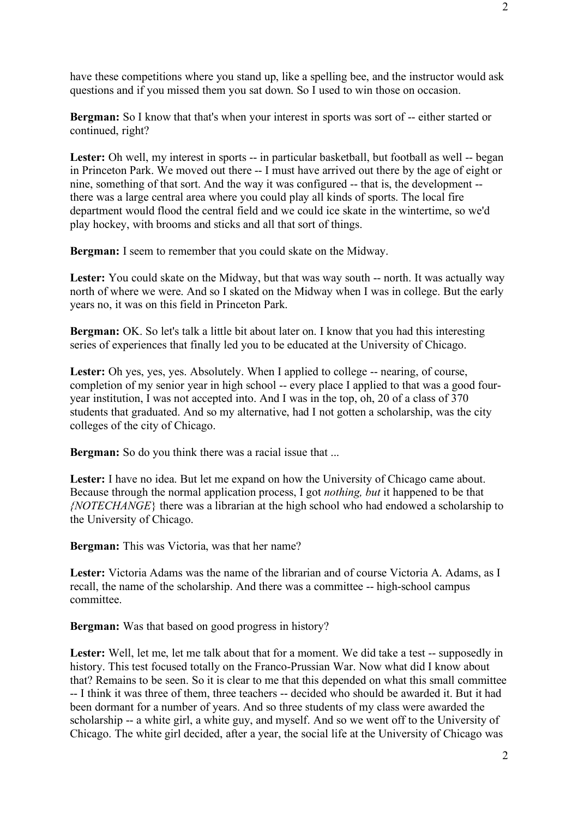have these competitions where you stand up, like a spelling bee, and the instructor would ask questions and if you missed them you sat down. So I used to win those on occasion.

**Bergman:** So I know that that's when your interest in sports was sort of -- either started or continued, right?

Lester: Oh well, my interest in sports -- in particular basketball, but football as well -- began in Princeton Park. We moved out there -- I must have arrived out there by the age of eight or nine, something of that sort. And the way it was configured -- that is, the development - there was a large central area where you could play all kinds of sports. The local fire department would flood the central field and we could ice skate in the wintertime, so we'd play hockey, with brooms and sticks and all that sort of things.

**Bergman:** I seem to remember that you could skate on the Midway.

Lester: You could skate on the Midway, but that was way south -- north. It was actually way north of where we were. And so I skated on the Midway when I was in college. But the early years no, it was on this field in Princeton Park.

**Bergman:** OK. So let's talk a little bit about later on. I know that you had this interesting series of experiences that finally led you to be educated at the University of Chicago.

Lester: Oh yes, yes, yes. Absolutely. When I applied to college -- nearing, of course, completion of my senior year in high school -- every place I applied to that was a good fouryear institution, I was not accepted into. And I was in the top, oh, 20 of a class of 370 students that graduated. And so my alternative, had I not gotten a scholarship, was the city colleges of the city of Chicago.

**Bergman:** So do you think there was a racial issue that ...

Lester: I have no idea. But let me expand on how the University of Chicago came about. Because through the normal application process, I got *nothing, but* it happened to be that *{NOTECHANGE*} there was a librarian at the high school who had endowed a scholarship to the University of Chicago.

**Bergman:** This was Victoria, was that her name?

**Lester:** Victoria Adams was the name of the librarian and of course Victoria A. Adams, as I recall, the name of the scholarship. And there was a committee -- high-school campus committee.

**Bergman:** Was that based on good progress in history?

Lester: Well, let me, let me talk about that for a moment. We did take a test -- supposedly in history. This test focused totally on the Franco-Prussian War. Now what did I know about that? Remains to be seen. So it is clear to me that this depended on what this small committee -- I think it was three of them, three teachers -- decided who should be awarded it. But it had been dormant for a number of years. And so three students of my class were awarded the scholarship -- a white girl, a white guy, and myself. And so we went off to the University of Chicago. The white girl decided, after a year, the social life at the University of Chicago was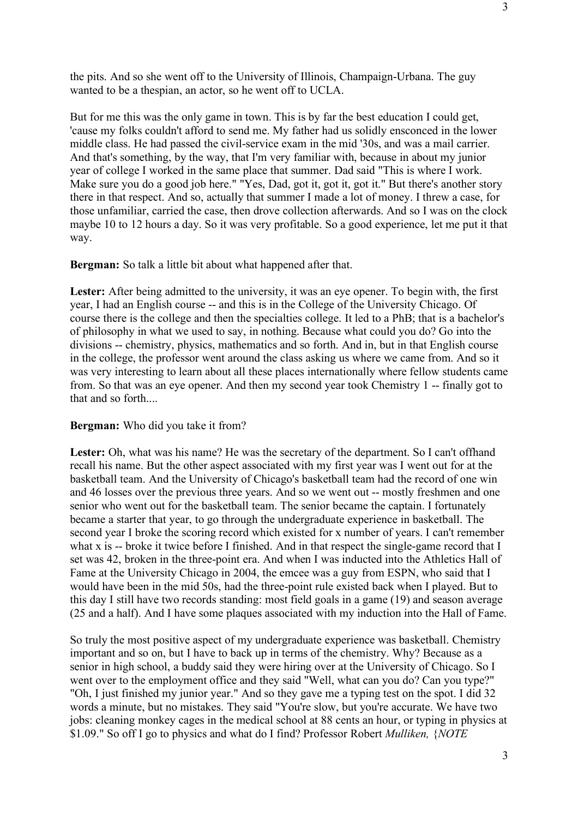the pits. And so she went off to the University of Illinois, Champaign-Urbana. The guy wanted to be a thespian, an actor, so he went off to UCLA.

But for me this was the only game in town. This is by far the best education I could get, 'cause my folks couldn't afford to send me. My father had us solidly ensconced in the lower middle class. He had passed the civil-service exam in the mid '30s, and was a mail carrier. And that's something, by the way, that I'm very familiar with, because in about my junior year of college I worked in the same place that summer. Dad said "This is where I work. Make sure you do a good job here." "Yes, Dad, got it, got it, got it." But there's another story there in that respect. And so, actually that summer I made a lot of money. I threw a case, for those unfamiliar, carried the case, then drove collection afterwards. And so I was on the clock maybe 10 to 12 hours a day. So it was very profitable. So a good experience, let me put it that way.

**Bergman:** So talk a little bit about what happened after that.

Lester: After being admitted to the university, it was an eye opener. To begin with, the first year, I had an English course -- and this is in the College of the University Chicago. Of course there is the college and then the specialties college. It led to a PhB; that is a bachelor's of philosophy in what we used to say, in nothing. Because what could you do? Go into the divisions -- chemistry, physics, mathematics and so forth. And in, but in that English course in the college, the professor went around the class asking us where we came from. And so it was very interesting to learn about all these places internationally where fellow students came from. So that was an eye opener. And then my second year took Chemistry 1 -- finally got to that and so forth...

## **Bergman:** Who did you take it from?

Lester: Oh, what was his name? He was the secretary of the department. So I can't offhand recall his name. But the other aspect associated with my first year was I went out for at the basketball team. And the University of Chicago's basketball team had the record of one win and 46 losses over the previous three years. And so we went out -- mostly freshmen and one senior who went out for the basketball team. The senior became the captain. I fortunately became a starter that year, to go through the undergraduate experience in basketball. The second year I broke the scoring record which existed for x number of years. I can't remember what x is -- broke it twice before I finished. And in that respect the single-game record that I set was 42, broken in the three-point era. And when I was inducted into the Athletics Hall of Fame at the University Chicago in 2004, the emcee was a guy from ESPN, who said that I would have been in the mid 50s, had the three-point rule existed back when I played. But to this day I still have two records standing: most field goals in a game (19) and season average (25 and a half). And I have some plaques associated with my induction into the Hall of Fame.

So truly the most positive aspect of my undergraduate experience was basketball. Chemistry important and so on, but I have to back up in terms of the chemistry. Why? Because as a senior in high school, a buddy said they were hiring over at the University of Chicago. So I went over to the employment office and they said "Well, what can you do? Can you type?" "Oh, I just finished my junior year." And so they gave me a typing test on the spot. I did 32 words a minute, but no mistakes. They said "You're slow, but you're accurate. We have two jobs: cleaning monkey cages in the medical school at 88 cents an hour, or typing in physics at \$1.09." So off I go to physics and what do I find? Professor Robert *Mulliken,* {*NOTE*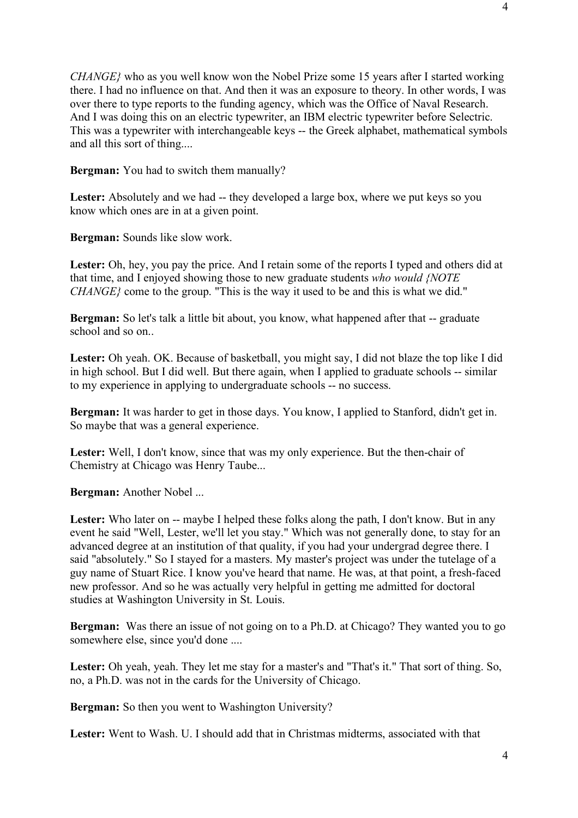*CHANGE}* who as you well know won the Nobel Prize some 15 years after I started working there. I had no influence on that. And then it was an exposure to theory. In other words, I was over there to type reports to the funding agency, which was the Office of Naval Research. And I was doing this on an electric typewriter, an IBM electric typewriter before Selectric. This was a typewriter with interchangeable keys -- the Greek alphabet, mathematical symbols and all this sort of thing....

**Bergman:** You had to switch them manually?

Lester: Absolutely and we had -- they developed a large box, where we put keys so you know which ones are in at a given point.

**Bergman:** Sounds like slow work.

Lester: Oh, hey, you pay the price. And I retain some of the reports I typed and others did at that time, and I enjoyed showing those to new graduate students *who would {NOTE CHANGE*} come to the group. "This is the way it used to be and this is what we did."

**Bergman:** So let's talk a little bit about, you know, what happened after that -- graduate school and so on.

Lester: Oh yeah. OK. Because of basketball, you might say, I did not blaze the top like I did in high school. But I did well. But there again, when I applied to graduate schools -- similar to my experience in applying to undergraduate schools -- no success.

**Bergman:** It was harder to get in those days. You know, I applied to Stanford, didn't get in. So maybe that was a general experience.

Lester: Well, I don't know, since that was my only experience. But the then-chair of Chemistry at Chicago was Henry Taube...

**Bergman:** Another Nobel ...

Lester: Who later on -- maybe I helped these folks along the path, I don't know. But in any event he said "Well, Lester, we'll let you stay." Which was not generally done, to stay for an advanced degree at an institution of that quality, if you had your undergrad degree there. I said "absolutely." So I stayed for a masters. My master's project was under the tutelage of a guy name of Stuart Rice. I know you've heard that name. He was, at that point, a fresh-faced new professor. And so he was actually very helpful in getting me admitted for doctoral studies at Washington University in St. Louis.

**Bergman:** Was there an issue of not going on to a Ph.D. at Chicago? They wanted you to go somewhere else, since you'd done ....

Lester: Oh yeah, yeah. They let me stay for a master's and "That's it." That sort of thing. So, no, a Ph.D. was not in the cards for the University of Chicago.

**Bergman:** So then you went to Washington University?

**Lester:** Went to Wash. U. I should add that in Christmas midterms, associated with that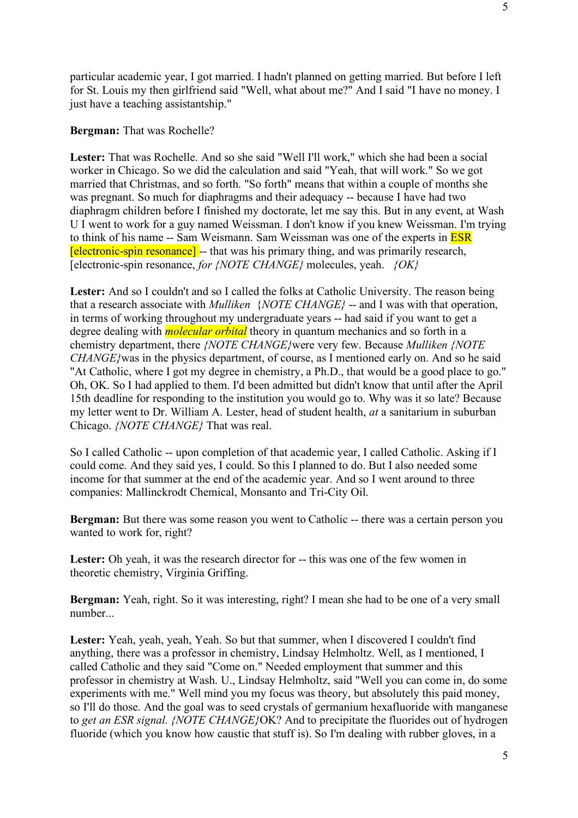particular academic year, I got married. I hadn't planned on getting married. But before I left for St. Louis my then girlfriend said "Well, what about me?" And I said "I have no money. I just have a teaching assistantship."

**Bergman:** That was Rochelle?

**Lester:** That was Rochelle. And so she said "Well I'll work," which she had been a social worker in Chicago. So we did the calculation and said "Yeah, that will work." So we got married that Christmas, and so forth. "So forth" means that within a couple of months she was pregnant. So much for diaphragms and their adequacy -- because I have had two diaphragm children before I finished my doctorate, let me say this. But in any event, at Wash U I went to work for a guy named Weissman. I don't know if you knew Weissman. I'm trying to think of his name -- Sam Weismann. Sam Weissman was one of the experts in **ESR** [electronic-spin resonance] -- that was his primary thing, and was primarily research, [electronic-spin resonance, *for {NOTE CHANGE}* molecules, yeah. *{OK}*

**Lester:** And so I couldn't and so I called the folks at Catholic University. The reason being that a research associate with *Mulliken* {*NOTE CHANGE}* -- and I was with that operation, in terms of working throughout my undergraduate years -- had said if you want to get a degree dealing with *molecular orbital* theory in quantum mechanics and so forth in a chemistry department, there *{NOTE CHANGE}*were very few. Because *Mulliken {NOTE CHANGE}*was in the physics department, of course, as I mentioned early on. And so he said "At Catholic, where I got my degree in chemistry, a Ph.D., that would be a good place to go." Oh, OK. So I had applied to them. I'd been admitted but didn't know that until after the April 15th deadline for responding to the institution you would go to. Why was it so late? Because my letter went to Dr. William A. Lester, head of student health, *at* a sanitarium in suburban Chicago. *{NOTE CHANGE}* That was real.

So I called Catholic -- upon completion of that academic year, I called Catholic. Asking if I could come. And they said yes, I could. So this I planned to do. But I also needed some income for that summer at the end of the academic year. And so I went around to three companies: Mallinckrodt Chemical, Monsanto and Tri-City Oil.

**Bergman:** But there was some reason you went to Catholic -- there was a certain person you wanted to work for, right?

Lester: Oh yeah, it was the research director for -- this was one of the few women in theoretic chemistry, Virginia Griffing.

**Bergman:** Yeah, right. So it was interesting, right? I mean she had to be one of a very small number...

**Lester:** Yeah, yeah, yeah, Yeah. So but that summer, when I discovered I couldn't find anything, there was a professor in chemistry, Lindsay Helmholtz. Well, as I mentioned, I called Catholic and they said "Come on." Needed employment that summer and this professor in chemistry at Wash. U., Lindsay Helmholtz, said "Well you can come in, do some experiments with me." Well mind you my focus was theory, but absolutely this paid money, so I'll do those. And the goal was to seed crystals of germanium hexafluoride with manganese to *get an ESR signal. {NOTE CHANGE}*OK? And to precipitate the fluorides out of hydrogen fluoride (which you know how caustic that stuff is). So I'm dealing with rubber gloves, in a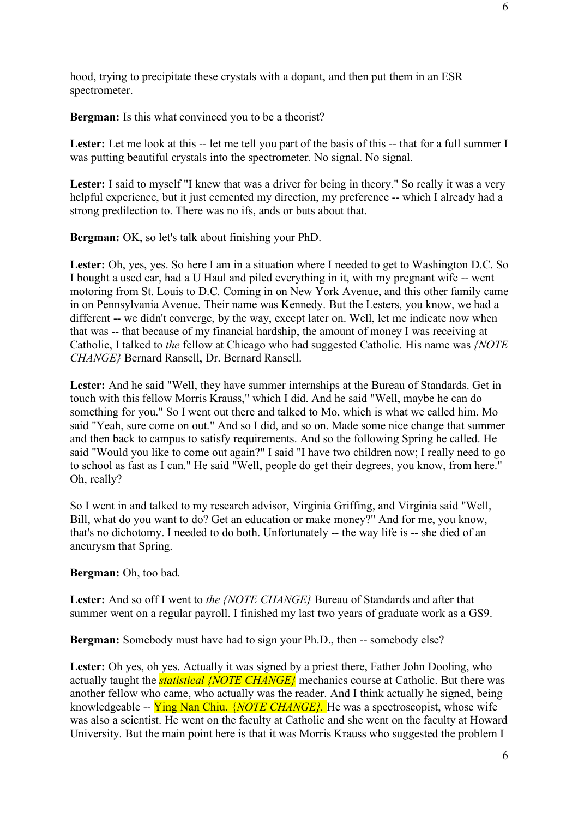hood, trying to precipitate these crystals with a dopant, and then put them in an ESR spectrometer.

**Bergman:** Is this what convinced you to be a theorist?

Lester: Let me look at this -- let me tell you part of the basis of this -- that for a full summer I was putting beautiful crystals into the spectrometer. No signal. No signal.

Lester: I said to myself "I knew that was a driver for being in theory." So really it was a very helpful experience, but it just cemented my direction, my preference -- which I already had a strong predilection to. There was no ifs, ands or buts about that.

**Bergman:** OK, so let's talk about finishing your PhD.

Lester: Oh, yes, yes. So here I am in a situation where I needed to get to Washington D.C. So I bought a used car, had a U Haul and piled everything in it, with my pregnant wife -- went motoring from St. Louis to D.C. Coming in on New York Avenue, and this other family came in on Pennsylvania Avenue. Their name was Kennedy. But the Lesters, you know, we had a different -- we didn't converge, by the way, except later on. Well, let me indicate now when that was -- that because of my financial hardship, the amount of money I was receiving at Catholic, I talked to *the* fellow at Chicago who had suggested Catholic. His name was *{NOTE CHANGE}* Bernard Ransell, Dr. Bernard Ransell.

Lester: And he said "Well, they have summer internships at the Bureau of Standards. Get in touch with this fellow Morris Krauss," which I did. And he said "Well, maybe he can do something for you." So I went out there and talked to Mo, which is what we called him. Mo said "Yeah, sure come on out." And so I did, and so on. Made some nice change that summer and then back to campus to satisfy requirements. And so the following Spring he called. He said "Would you like to come out again?" I said "I have two children now; I really need to go to school as fast as I can." He said "Well, people do get their degrees, you know, from here." Oh, really?

So I went in and talked to my research advisor, Virginia Griffing, and Virginia said "Well, Bill, what do you want to do? Get an education or make money?" And for me, you know, that's no dichotomy. I needed to do both. Unfortunately -- the way life is -- she died of an aneurysm that Spring.

**Bergman:** Oh, too bad.

**Lester:** And so off I went to *the {NOTE CHANGE}* Bureau of Standards and after that summer went on a regular payroll. I finished my last two years of graduate work as a GS9.

**Bergman:** Somebody must have had to sign your Ph.D., then -- somebody else?

Lester: Oh yes, oh yes. Actually it was signed by a priest there, Father John Dooling, who actually taught the *statistical {NOTE CHANGE}* mechanics course at Catholic. But there was another fellow who came, who actually was the reader. And I think actually he signed, being knowledgeable -- Ying Nan Chiu. {*NOTE CHANGE}.* He was a spectroscopist, whose wife was also a scientist. He went on the faculty at Catholic and she went on the faculty at Howard University. But the main point here is that it was Morris Krauss who suggested the problem I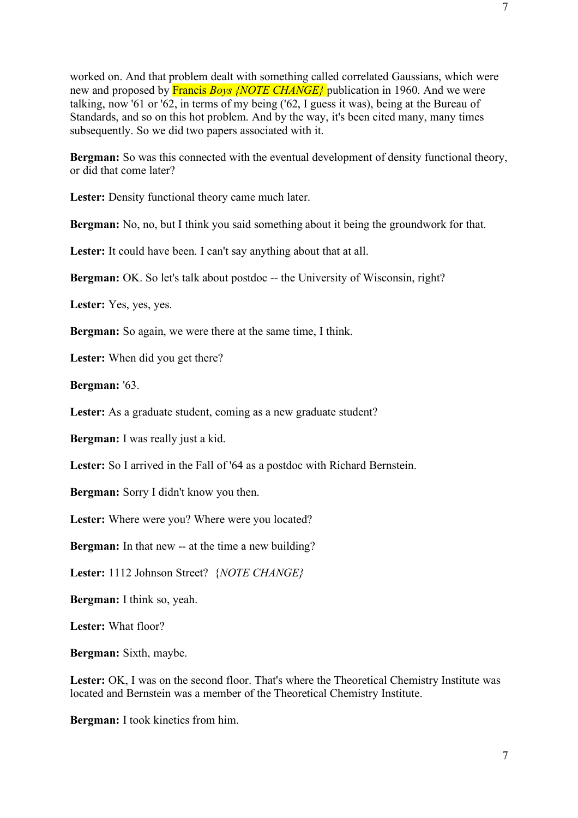worked on. And that problem dealt with something called correlated Gaussians, which were new and proposed by Francis *Boys {NOTE CHANGE}* publication in 1960. And we were talking, now '61 or '62, in terms of my being ('62, I guess it was), being at the Bureau of Standards, and so on this hot problem. And by the way, it's been cited many, many times subsequently. So we did two papers associated with it.

**Bergman:** So was this connected with the eventual development of density functional theory, or did that come later?

Lester: Density functional theory came much later.

**Bergman:** No, no, but I think you said something about it being the groundwork for that.

Lester: It could have been. I can't say anything about that at all.

**Bergman:** OK. So let's talk about postdoc -- the University of Wisconsin, right?

Lester: Yes, yes, yes.

**Bergman:** So again, we were there at the same time, I think.

**Lester:** When did you get there?

**Bergman:** '63.

Lester: As a graduate student, coming as a new graduate student?

**Bergman:** I was really just a kid.

Lester: So I arrived in the Fall of '64 as a postdoc with Richard Bernstein.

**Bergman:** Sorry I didn't know you then.

Lester: Where were you? Where were you located?

**Bergman:** In that new -- at the time a new building?

**Lester:** 1112 Johnson Street? {*NOTE CHANGE}*

**Bergman:** I think so, yeah.

**Lester:** What floor?

**Bergman:** Sixth, maybe.

Lester: OK, I was on the second floor. That's where the Theoretical Chemistry Institute was located and Bernstein was a member of the Theoretical Chemistry Institute.

**Bergman:** I took kinetics from him.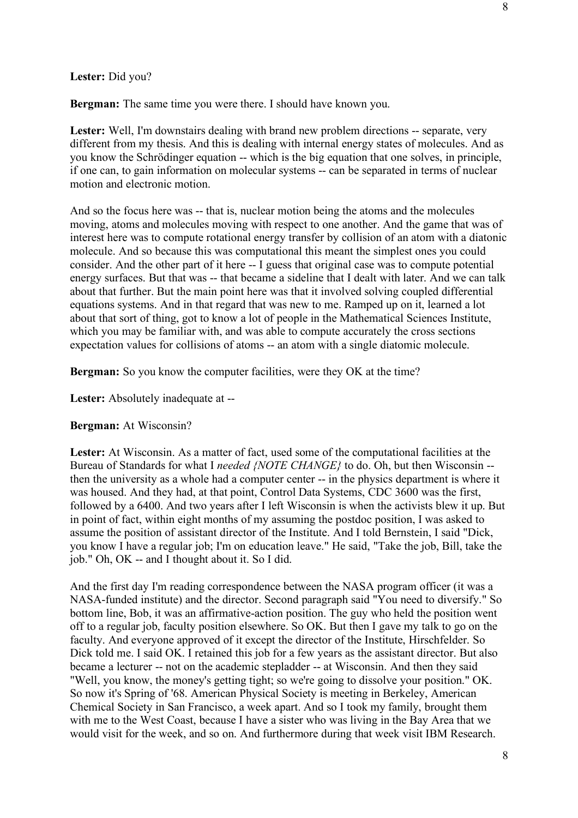## **Lester:** Did you?

**Bergman:** The same time you were there. I should have known you.

Lester: Well, I'm downstairs dealing with brand new problem directions -- separate, very different from my thesis. And this is dealing with internal energy states of molecules. And as you know the Schrödinger equation -- which is the big equation that one solves, in principle, if one can, to gain information on molecular systems -- can be separated in terms of nuclear motion and electronic motion.

And so the focus here was -- that is, nuclear motion being the atoms and the molecules moving, atoms and molecules moving with respect to one another. And the game that was of interest here was to compute rotational energy transfer by collision of an atom with a diatonic molecule. And so because this was computational this meant the simplest ones you could consider. And the other part of it here -- I guess that original case was to compute potential energy surfaces. But that was -- that became a sideline that I dealt with later. And we can talk about that further. But the main point here was that it involved solving coupled differential equations systems. And in that regard that was new to me. Ramped up on it, learned a lot about that sort of thing, got to know a lot of people in the Mathematical Sciences Institute, which you may be familiar with, and was able to compute accurately the cross sections expectation values for collisions of atoms -- an atom with a single diatomic molecule.

**Bergman:** So you know the computer facilities, were they OK at the time?

**Lester:** Absolutely inadequate at --

## **Bergman:** At Wisconsin?

Lester: At Wisconsin. As a matter of fact, used some of the computational facilities at the Bureau of Standards for what I *needed {NOTE CHANGE}* to do. Oh, but then Wisconsin - then the university as a whole had a computer center -- in the physics department is where it was housed. And they had, at that point, Control Data Systems, CDC 3600 was the first, followed by a 6400. And two years after I left Wisconsin is when the activists blew it up. But in point of fact, within eight months of my assuming the postdoc position, I was asked to assume the position of assistant director of the Institute. And I told Bernstein, I said "Dick, you know I have a regular job; I'm on education leave." He said, "Take the job, Bill, take the job." Oh, OK -- and I thought about it. So I did.

And the first day I'm reading correspondence between the NASA program officer (it was a NASA-funded institute) and the director. Second paragraph said "You need to diversify." So bottom line, Bob, it was an affirmative-action position. The guy who held the position went off to a regular job, faculty position elsewhere. So OK. But then I gave my talk to go on the faculty. And everyone approved of it except the director of the Institute, Hirschfelder. So Dick told me. I said OK. I retained this job for a few years as the assistant director. But also became a lecturer -- not on the academic stepladder -- at Wisconsin. And then they said "Well, you know, the money's getting tight; so we're going to dissolve your position." OK. So now it's Spring of '68. American Physical Society is meeting in Berkeley, American Chemical Society in San Francisco, a week apart. And so I took my family, brought them with me to the West Coast, because I have a sister who was living in the Bay Area that we would visit for the week, and so on. And furthermore during that week visit IBM Research.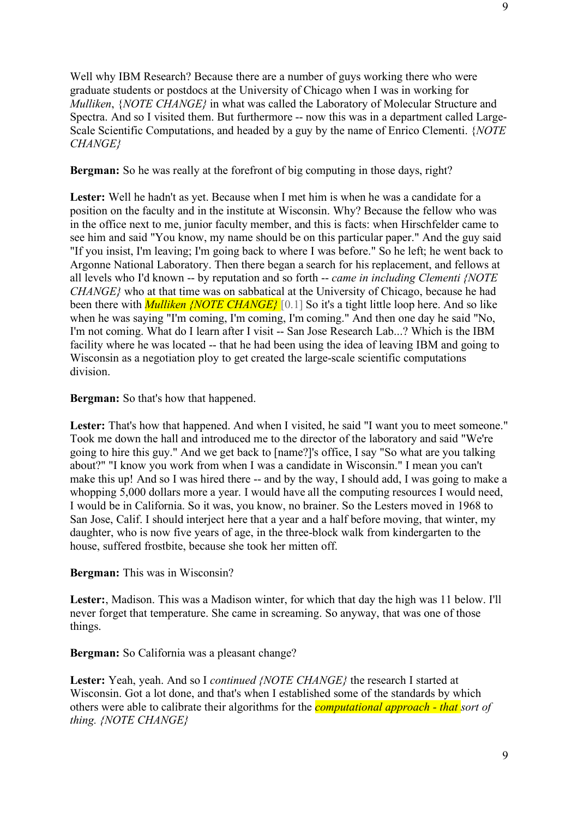Well why IBM Research? Because there are a number of guys working there who were graduate students or postdocs at the University of Chicago when I was in working for *Mulliken*, {*NOTE CHANGE}* in what was called the Laboratory of Molecular Structure and Spectra. And so I visited them. But furthermore -- now this was in a department called Large-Scale Scientific Computations, and headed by a guy by the name of Enrico Clementi. {*NOTE CHANGE}*

**Bergman:** So he was really at the forefront of big computing in those days, right?

Lester: Well he hadn't as yet. Because when I met him is when he was a candidate for a position on the faculty and in the institute at Wisconsin. Why? Because the fellow who was in the office next to me, junior faculty member, and this is facts: when Hirschfelder came to see him and said "You know, my name should be on this particular paper." And the guy said "If you insist, I'm leaving; I'm going back to where I was before." So he left; he went back to Argonne National Laboratory. Then there began a search for his replacement, and fellows at all levels who I'd known -- by reputation and so forth -- *came in including Clementi {NOTE CHANGE}* who at that time was on sabbatical at the University of Chicago, because he had been there with *Mulliken {NOTE CHANGE}* [0.1] So it's a tight little loop here. And so like when he was saying "I'm coming, I'm coming, I'm coming." And then one day he said "No, I'm not coming. What do I learn after I visit -- San Jose Research Lab...? Which is the IBM facility where he was located -- that he had been using the idea of leaving IBM and going to Wisconsin as a negotiation ploy to get created the large-scale scientific computations division.

**Bergman:** So that's how that happened.

Lester: That's how that happened. And when I visited, he said "I want you to meet someone." Took me down the hall and introduced me to the director of the laboratory and said "We're going to hire this guy." And we get back to [name?]'s office, I say "So what are you talking about?" "I know you work from when I was a candidate in Wisconsin." I mean you can't make this up! And so I was hired there -- and by the way, I should add, I was going to make a whopping 5,000 dollars more a year. I would have all the computing resources I would need, I would be in California. So it was, you know, no brainer. So the Lesters moved in 1968 to San Jose, Calif. I should interject here that a year and a half before moving, that winter, my daughter, who is now five years of age, in the three-block walk from kindergarten to the house, suffered frostbite, because she took her mitten off.

# **Bergman:** This was in Wisconsin?

**Lester:**, Madison. This was a Madison winter, for which that day the high was 11 below. I'll never forget that temperature. She came in screaming. So anyway, that was one of those things.

**Bergman:** So California was a pleasant change?

**Lester:** Yeah, yeah. And so I *continued {NOTE CHANGE}* the research I started at Wisconsin. Got a lot done, and that's when I established some of the standards by which others were able to calibrate their algorithms for the *computational approach - that sort of thing. {NOTE CHANGE}*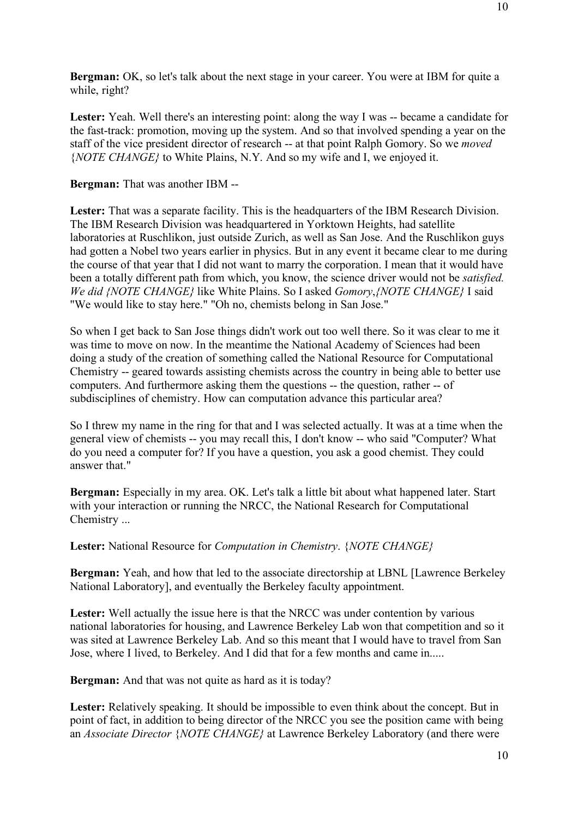**Bergman:** OK, so let's talk about the next stage in your career. You were at IBM for quite a while, right?

Lester: Yeah. Well there's an interesting point: along the way I was -- became a candidate for the fast-track: promotion, moving up the system. And so that involved spending a year on the staff of the vice president director of research -- at that point Ralph Gomory. So we *moved* {*NOTE CHANGE}* to White Plains, N.Y. And so my wife and I, we enjoyed it.

**Bergman:** That was another IBM --

Lester: That was a separate facility. This is the headquarters of the IBM Research Division. The IBM Research Division was headquartered in Yorktown Heights, had satellite laboratories at Ruschlikon, just outside Zurich, as well as San Jose. And the Ruschlikon guys had gotten a Nobel two years earlier in physics. But in any event it became clear to me during the course of that year that I did not want to marry the corporation. I mean that it would have been a totally different path from which, you know, the science driver would not be *satisfied. We did {NOTE CHANGE}* like White Plains. So I asked *Gomory*,*{NOTE CHANGE}* I said "We would like to stay here." "Oh no, chemists belong in San Jose."

So when I get back to San Jose things didn't work out too well there. So it was clear to me it was time to move on now. In the meantime the National Academy of Sciences had been doing a study of the creation of something called the National Resource for Computational Chemistry -- geared towards assisting chemists across the country in being able to better use computers. And furthermore asking them the questions -- the question, rather -- of subdisciplines of chemistry. How can computation advance this particular area?

So I threw my name in the ring for that and I was selected actually. It was at a time when the general view of chemists -- you may recall this, I don't know -- who said "Computer? What do you need a computer for? If you have a question, you ask a good chemist. They could answer that."

**Bergman:** Especially in my area. OK. Let's talk a little bit about what happened later. Start with your interaction or running the NRCC, the National Research for Computational Chemistry ...

**Lester:** National Resource for *Computation in Chemistry*. {*NOTE CHANGE}*

**Bergman:** Yeah, and how that led to the associate directorship at LBNL [Lawrence Berkeley National Laboratory], and eventually the Berkeley faculty appointment.

Lester: Well actually the issue here is that the NRCC was under contention by various national laboratories for housing, and Lawrence Berkeley Lab won that competition and so it was sited at Lawrence Berkeley Lab. And so this meant that I would have to travel from San Jose, where I lived, to Berkeley. And I did that for a few months and came in.....

**Bergman:** And that was not quite as hard as it is today?

Lester: Relatively speaking. It should be impossible to even think about the concept. But in point of fact, in addition to being director of the NRCC you see the position came with being an *Associate Director* {*NOTE CHANGE}* at Lawrence Berkeley Laboratory (and there were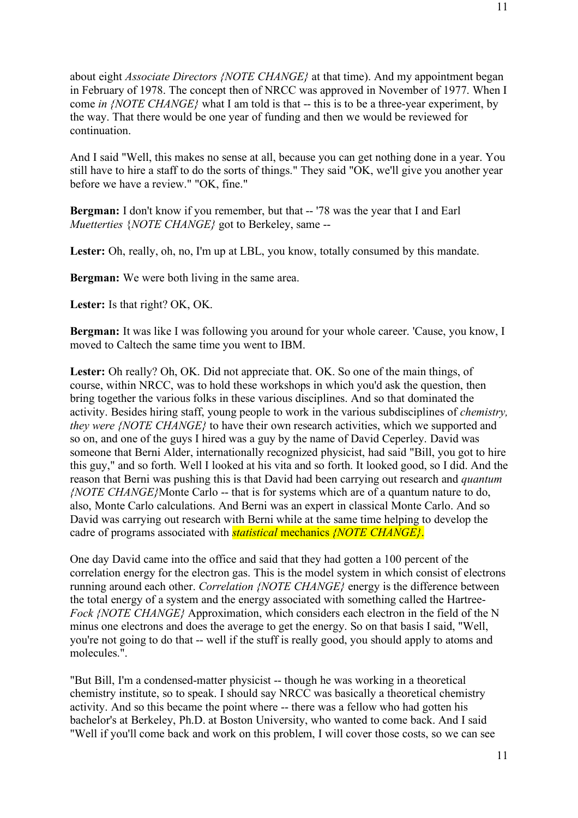about eight *Associate Directors {NOTE CHANGE}* at that time). And my appointment began in February of 1978. The concept then of NRCC was approved in November of 1977. When I come *in {NOTE CHANGE}* what I am told is that -- this is to be a three-year experiment, by the way. That there would be one year of funding and then we would be reviewed for continuation.

And I said "Well, this makes no sense at all, because you can get nothing done in a year. You still have to hire a staff to do the sorts of things." They said "OK, we'll give you another year before we have a review." "OK, fine."

**Bergman:** I don't know if you remember, but that -- '78 was the year that I and Earl *Muetterties* {*NOTE CHANGE}* got to Berkeley, same --

Lester: Oh, really, oh, no, I'm up at LBL, you know, totally consumed by this mandate.

**Bergman:** We were both living in the same area.

**Lester:** Is that right? OK, OK.

**Bergman:** It was like I was following you around for your whole career. 'Cause, you know, I moved to Caltech the same time you went to IBM.

Lester: Oh really? Oh, OK. Did not appreciate that. OK. So one of the main things, of course, within NRCC, was to hold these workshops in which you'd ask the question, then bring together the various folks in these various disciplines. And so that dominated the activity. Besides hiring staff, young people to work in the various subdisciplines of *chemistry, they were {NOTE CHANGE}* to have their own research activities, which we supported and so on, and one of the guys I hired was a guy by the name of David Ceperley. David was someone that Berni Alder, internationally recognized physicist, had said "Bill, you got to hire this guy," and so forth. Well I looked at his vita and so forth. It looked good, so I did. And the reason that Berni was pushing this is that David had been carrying out research and *quantum {NOTE CHANGE}*Monte Carlo -- that is for systems which are of a quantum nature to do, also, Monte Carlo calculations. And Berni was an expert in classical Monte Carlo. And so David was carrying out research with Berni while at the same time helping to develop the cadre of programs associated with *statistical* mechanics *{NOTE CHANGE}*.

One day David came into the office and said that they had gotten a 100 percent of the correlation energy for the electron gas. This is the model system in which consist of electrons running around each other. *Correlation {NOTE CHANGE}* energy is the difference between the total energy of a system and the energy associated with something called the Hartree-*Fock {NOTE CHANGE}* Approximation, which considers each electron in the field of the N minus one electrons and does the average to get the energy. So on that basis I said, "Well, you're not going to do that -- well if the stuff is really good, you should apply to atoms and molecules.".

"But Bill, I'm a condensed-matter physicist -- though he was working in a theoretical chemistry institute, so to speak. I should say NRCC was basically a theoretical chemistry activity. And so this became the point where -- there was a fellow who had gotten his bachelor's at Berkeley, Ph.D. at Boston University, who wanted to come back. And I said "Well if you'll come back and work on this problem, I will cover those costs, so we can see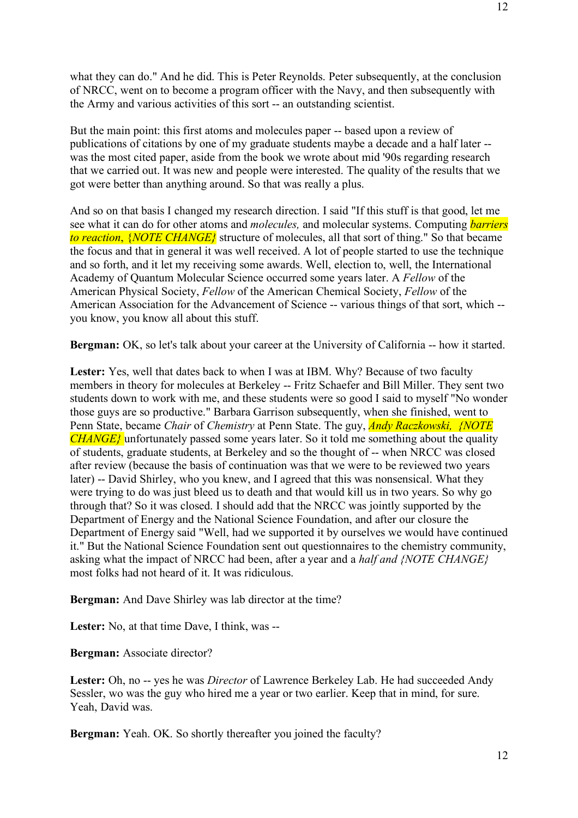what they can do." And he did. This is Peter Reynolds. Peter subsequently, at the conclusion of NRCC, went on to become a program officer with the Navy, and then subsequently with the Army and various activities of this sort -- an outstanding scientist.

But the main point: this first atoms and molecules paper -- based upon a review of publications of citations by one of my graduate students maybe a decade and a half later - was the most cited paper, aside from the book we wrote about mid '90s regarding research that we carried out. It was new and people were interested. The quality of the results that we got were better than anything around. So that was really a plus.

And so on that basis I changed my research direction. I said "If this stuff is that good, let me see what it can do for other atoms and *molecules,* and molecular systems. Computing *barriers to reaction*, {*NOTE CHANGE}* structure of molecules, all that sort of thing." So that became the focus and that in general it was well received. A lot of people started to use the technique and so forth, and it let my receiving some awards. Well, election to, well, the International Academy of Quantum Molecular Science occurred some years later. A *Fellow* of the American Physical Society, *Fellow* of the American Chemical Society, *Fellow* of the American Association for the Advancement of Science -- various things of that sort, which - you know, you know all about this stuff.

**Bergman:** OK, so let's talk about your career at the University of California -- how it started.

**Lester:** Yes, well that dates back to when I was at IBM. Why? Because of two faculty members in theory for molecules at Berkeley -- Fritz Schaefer and Bill Miller. They sent two students down to work with me, and these students were so good I said to myself "No wonder those guys are so productive." Barbara Garrison subsequently, when she finished, went to Penn State, became *Chair* of *Chemistry* at Penn State. The guy, *Andy Raczkowski, {NOTE CHANGE}* unfortunately passed some years later. So it told me something about the quality of students, graduate students, at Berkeley and so the thought of -- when NRCC was closed after review (because the basis of continuation was that we were to be reviewed two years later) -- David Shirley, who you knew, and I agreed that this was nonsensical. What they were trying to do was just bleed us to death and that would kill us in two years. So why go through that? So it was closed. I should add that the NRCC was jointly supported by the Department of Energy and the National Science Foundation, and after our closure the Department of Energy said "Well, had we supported it by ourselves we would have continued it." But the National Science Foundation sent out questionnaires to the chemistry community, asking what the impact of NRCC had been, after a year and a *half and {NOTE CHANGE}* most folks had not heard of it. It was ridiculous.

**Bergman:** And Dave Shirley was lab director at the time?

**Lester:** No, at that time Dave, I think, was --

**Bergman:** Associate director?

Lester: Oh, no -- yes he was *Director* of Lawrence Berkeley Lab. He had succeeded Andy Sessler, wo was the guy who hired me a year or two earlier. Keep that in mind, for sure. Yeah, David was.

**Bergman:** Yeah. OK. So shortly thereafter you joined the faculty?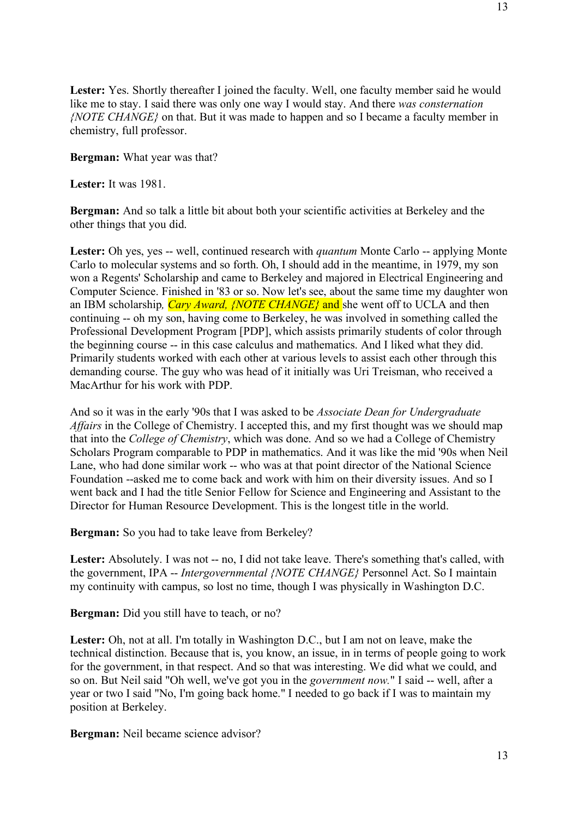Lester: Yes. Shortly thereafter I joined the faculty. Well, one faculty member said he would like me to stay. I said there was only one way I would stay. And there *was consternation {NOTE CHANGE}* on that. But it was made to happen and so I became a faculty member in chemistry, full professor.

**Bergman:** What year was that?

**Lester:** It was 1981.

**Bergman:** And so talk a little bit about both your scientific activities at Berkeley and the other things that you did.

**Lester:** Oh yes, yes -- well, continued research with *quantum* Monte Carlo -- applying Monte Carlo to molecular systems and so forth. Oh, I should add in the meantime, in 1979, my son won a Regents' Scholarship and came to Berkeley and majored in Electrical Engineering and Computer Science. Finished in '83 or so. Now let's see, about the same time my daughter won an IBM scholarship*, Cary Award, {NOTE CHANGE}* and she went off to UCLA and then continuing -- oh my son, having come to Berkeley, he was involved in something called the Professional Development Program [PDP], which assists primarily students of color through the beginning course -- in this case calculus and mathematics. And I liked what they did. Primarily students worked with each other at various levels to assist each other through this demanding course. The guy who was head of it initially was Uri Treisman, who received a MacArthur for his work with PDP.

And so it was in the early '90s that I was asked to be *Associate Dean for Undergraduate Affairs* in the College of Chemistry. I accepted this, and my first thought was we should map that into the *College of Chemistry*, which was done. And so we had a College of Chemistry Scholars Program comparable to PDP in mathematics. And it was like the mid '90s when Neil Lane, who had done similar work -- who was at that point director of the National Science Foundation --asked me to come back and work with him on their diversity issues. And so I went back and I had the title Senior Fellow for Science and Engineering and Assistant to the Director for Human Resource Development. This is the longest title in the world.

**Bergman:** So you had to take leave from Berkeley?

Lester: Absolutely. I was not -- no. I did not take leave. There's something that's called, with the government, IPA -- *Intergovernmental {NOTE CHANGE}* Personnel Act. So I maintain my continuity with campus, so lost no time, though I was physically in Washington D.C.

**Bergman:** Did you still have to teach, or no?

**Lester:** Oh, not at all. I'm totally in Washington D.C., but I am not on leave, make the technical distinction. Because that is, you know, an issue, in in terms of people going to work for the government, in that respect. And so that was interesting. We did what we could, and so on. But Neil said "Oh well, we've got you in the *government now.*" I said -- well, after a year or two I said "No, I'm going back home." I needed to go back if I was to maintain my position at Berkeley.

**Bergman:** Neil became science advisor?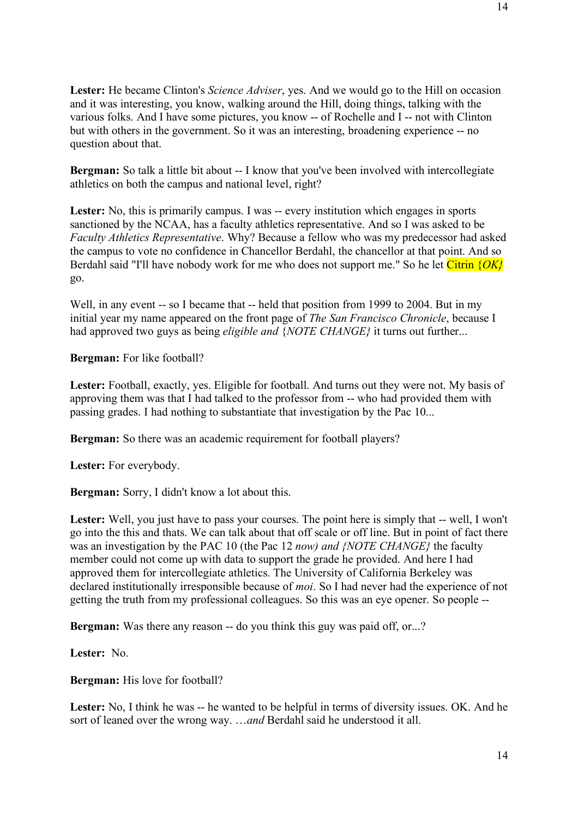**Lester:** He became Clinton's *Science Adviser*, yes. And we would go to the Hill on occasion and it was interesting, you know, walking around the Hill, doing things, talking with the various folks. And I have some pictures, you know -- of Rochelle and I -- not with Clinton but with others in the government. So it was an interesting, broadening experience -- no question about that.

**Bergman:** So talk a little bit about -- I know that you've been involved with intercollegiate athletics on both the campus and national level, right?

Lester: No, this is primarily campus. I was -- every institution which engages in sports sanctioned by the NCAA, has a faculty athletics representative. And so I was asked to be *Faculty Athletics Representative*. Why? Because a fellow who was my predecessor had asked the campus to vote no confidence in Chancellor Berdahl, the chancellor at that point. And so Berdahl said "I'll have nobody work for me who does not support me." So he let Citrin {*OK}*  go.

Well, in any event -- so I became that -- held that position from 1999 to 2004. But in my initial year my name appeared on the front page of *The San Francisco Chronicle*, because I had approved two guys as being *eligible and* {*NOTE CHANGE}* it turns out further...

**Bergman:** For like football?

Lester: Football, exactly, yes. Eligible for football. And turns out they were not. My basis of approving them was that I had talked to the professor from -- who had provided them with passing grades. I had nothing to substantiate that investigation by the Pac 10...

**Bergman:** So there was an academic requirement for football players?

**Lester:** For everybody.

**Bergman:** Sorry, I didn't know a lot about this.

Lester: Well, you just have to pass your courses. The point here is simply that -- well, I won't go into the this and thats. We can talk about that off scale or off line. But in point of fact there was an investigation by the PAC 10 (the Pac 12 *now) and {NOTE CHANGE}* the faculty member could not come up with data to support the grade he provided. And here I had approved them for intercollegiate athletics. The University of California Berkeley was declared institutionally irresponsible because of *moi*. So I had never had the experience of not getting the truth from my professional colleagues. So this was an eye opener. So people --

**Bergman:** Was there any reason -- do you think this guy was paid off, or...?

**Lester:** No.

**Bergman:** His love for football?

Lester: No, I think he was -- he wanted to be helpful in terms of diversity issues. OK. And he sort of leaned over the wrong way. …*and* Berdahl said he understood it all.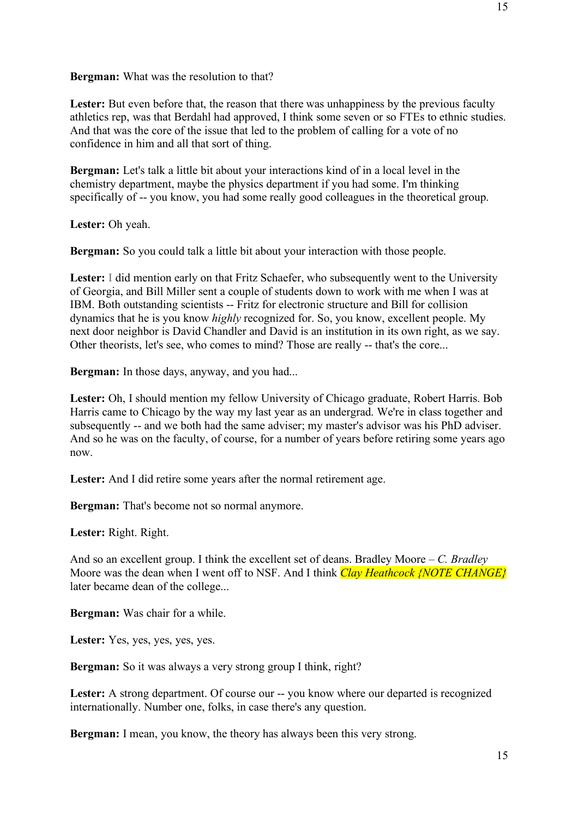**Bergman:** What was the resolution to that?

Lester: But even before that, the reason that there was unhappiness by the previous faculty athletics rep, was that Berdahl had approved, I think some seven or so FTEs to ethnic studies. And that was the core of the issue that led to the problem of calling for a vote of no confidence in him and all that sort of thing.

**Bergman:** Let's talk a little bit about your interactions kind of in a local level in the chemistry department, maybe the physics department if you had some. I'm thinking specifically of -- you know, you had some really good colleagues in the theoretical group.

**Lester:** Oh yeah.

**Bergman:** So you could talk a little bit about your interaction with those people.

Lester: I did mention early on that Fritz Schaefer, who subsequently went to the University of Georgia, and Bill Miller sent a couple of students down to work with me when I was at IBM. Both outstanding scientists -- Fritz for electronic structure and Bill for collision dynamics that he is you know *highly* recognized for. So, you know, excellent people. My next door neighbor is David Chandler and David is an institution in its own right, as we say. Other theorists, let's see, who comes to mind? Those are really -- that's the core...

**Bergman:** In those days, anyway, and you had...

Lester: Oh, I should mention my fellow University of Chicago graduate, Robert Harris. Bob Harris came to Chicago by the way my last year as an undergrad. We're in class together and subsequently -- and we both had the same adviser; my master's advisor was his PhD adviser. And so he was on the faculty, of course, for a number of years before retiring some years ago now.

Lester: And I did retire some years after the normal retirement age.

**Bergman:** That's become not so normal anymore.

**Lester:** Right. Right.

And so an excellent group. I think the excellent set of deans. Bradley Moore – *C. Bradley* Moore was the dean when I went off to NSF. And I think *Clay Heathcock {NOTE CHANGE}*  later became dean of the college...

**Bergman:** Was chair for a while.

**Lester:** Yes, yes, yes, yes, yes.

**Bergman:** So it was always a very strong group I think, right?

Lester: A strong department. Of course our -- you know where our departed is recognized internationally. Number one, folks, in case there's any question.

**Bergman:** I mean, you know, the theory has always been this very strong.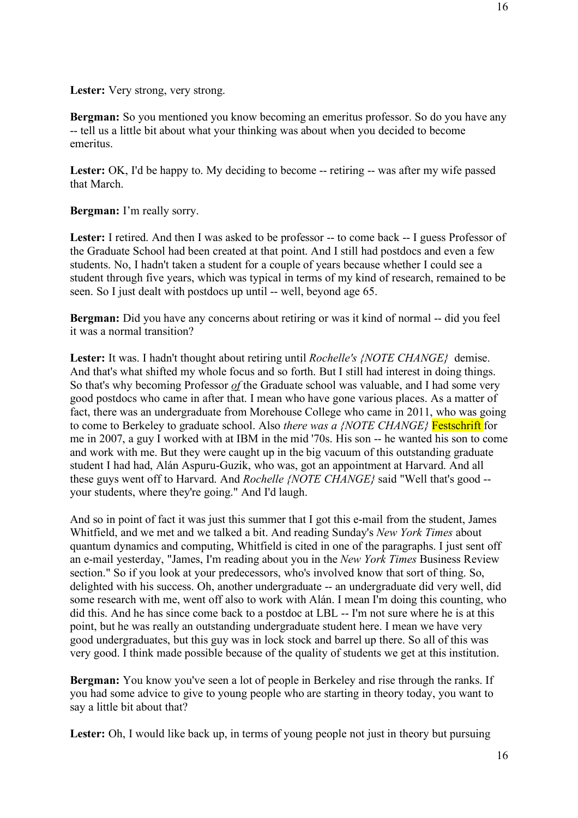**Bergman:** So you mentioned you know becoming an emeritus professor. So do you have any -- tell us a little bit about what your thinking was about when you decided to become emeritus.

Lester: OK, I'd be happy to. My deciding to become -- retiring -- was after my wife passed that March.

**Bergman:** I'm really sorry.

Lester: I retired. And then I was asked to be professor -- to come back -- I guess Professor of the Graduate School had been created at that point. And I still had postdocs and even a few students. No, I hadn't taken a student for a couple of years because whether I could see a student through five years, which was typical in terms of my kind of research, remained to be seen. So I just dealt with postdocs up until -- well, beyond age 65.

**Bergman:** Did you have any concerns about retiring or was it kind of normal -- did you feel it was a normal transition?

**Lester:** It was. I hadn't thought about retiring until *Rochelle's {NOTE CHANGE}* demise. And that's what shifted my whole focus and so forth. But I still had interest in doing things. So that's why becoming Professor *of* the Graduate school was valuable, and I had some very good postdocs who came in after that. I mean who have gone various places. As a matter of fact, there was an undergraduate from Morehouse College who came in 2011, who was going to come to Berkeley to graduate school. Also *there was a {NOTE CHANGE}* Festschrift for me in 2007, a guy I worked with at IBM in the mid '70s. His son -- he wanted his son to come and work with me. But they were caught up in the big vacuum of this outstanding graduate student I had had, Alán Aspuru-Guzik, who was, got an appointment at Harvard. And all these guys went off to Harvard. And *Rochelle {NOTE CHANGE}* said "Well that's good - your students, where they're going." And I'd laugh.

And so in point of fact it was just this summer that I got this e-mail from the student, James Whitfield, and we met and we talked a bit. And reading Sunday's *New York Times* about quantum dynamics and computing, Whitfield is cited in one of the paragraphs. I just sent off an e-mail yesterday, "James, I'm reading about you in the *New York Times* Business Review section." So if you look at your predecessors, who's involved know that sort of thing. So, delighted with his success. Oh, another undergraduate -- an undergraduate did very well, did some research with me, went off also to work with Alán. I mean I'm doing this counting, who did this. And he has since come back to a postdoc at LBL -- I'm not sure where he is at this point, but he was really an outstanding undergraduate student here. I mean we have very good undergraduates, but this guy was in lock stock and barrel up there. So all of this was very good. I think made possible because of the quality of students we get at this institution.

**Bergman:** You know you've seen a lot of people in Berkeley and rise through the ranks. If you had some advice to give to young people who are starting in theory today, you want to say a little bit about that?

Lester: Oh, I would like back up, in terms of young people not just in theory but pursuing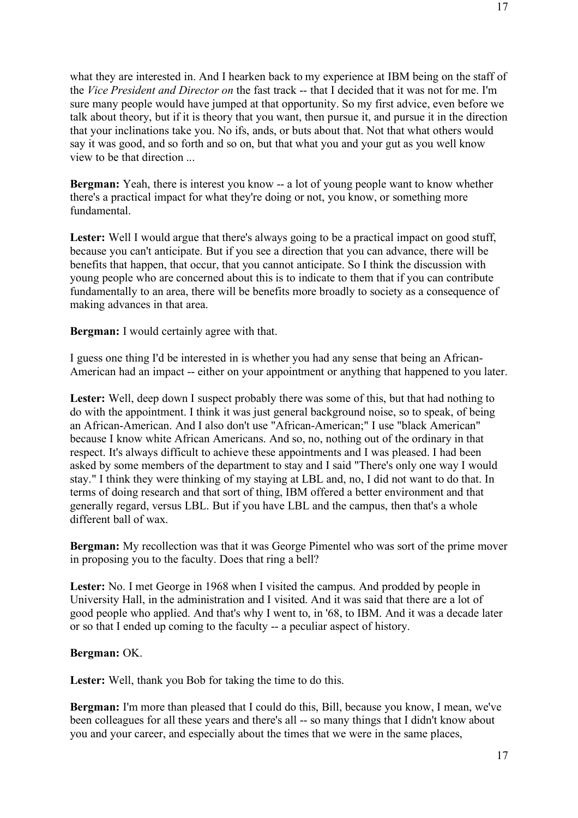what they are interested in. And I hearken back to my experience at IBM being on the staff of the *Vice President and Director on* the fast track -- that I decided that it was not for me. I'm sure many people would have jumped at that opportunity. So my first advice, even before we talk about theory, but if it is theory that you want, then pursue it, and pursue it in the direction that your inclinations take you. No ifs, ands, or buts about that. Not that what others would say it was good, and so forth and so on, but that what you and your gut as you well know view to be that direction ...

**Bergman:** Yeah, there is interest you know -- a lot of young people want to know whether there's a practical impact for what they're doing or not, you know, or something more fundamental.

Lester: Well I would argue that there's always going to be a practical impact on good stuff, because you can't anticipate. But if you see a direction that you can advance, there will be benefits that happen, that occur, that you cannot anticipate. So I think the discussion with young people who are concerned about this is to indicate to them that if you can contribute fundamentally to an area, there will be benefits more broadly to society as a consequence of making advances in that area.

**Bergman:** I would certainly agree with that.

I guess one thing I'd be interested in is whether you had any sense that being an African-American had an impact -- either on your appointment or anything that happened to you later.

Lester: Well, deep down I suspect probably there was some of this, but that had nothing to do with the appointment. I think it was just general background noise, so to speak, of being an African-American. And I also don't use "African-American;" I use "black American" because I know white African Americans. And so, no, nothing out of the ordinary in that respect. It's always difficult to achieve these appointments and I was pleased. I had been asked by some members of the department to stay and I said "There's only one way I would stay." I think they were thinking of my staying at LBL and, no, I did not want to do that. In terms of doing research and that sort of thing, IBM offered a better environment and that generally regard, versus LBL. But if you have LBL and the campus, then that's a whole different ball of wax.

**Bergman:** My recollection was that it was George Pimentel who was sort of the prime mover in proposing you to the faculty. Does that ring a bell?

Lester: No. I met George in 1968 when I visited the campus. And prodded by people in University Hall, in the administration and I visited. And it was said that there are a lot of good people who applied. And that's why I went to, in '68, to IBM. And it was a decade later or so that I ended up coming to the faculty -- a peculiar aspect of history.

# **Bergman:** OK.

Lester: Well, thank you Bob for taking the time to do this.

**Bergman:** I'm more than pleased that I could do this, Bill, because you know, I mean, we've been colleagues for all these years and there's all -- so many things that I didn't know about you and your career, and especially about the times that we were in the same places,